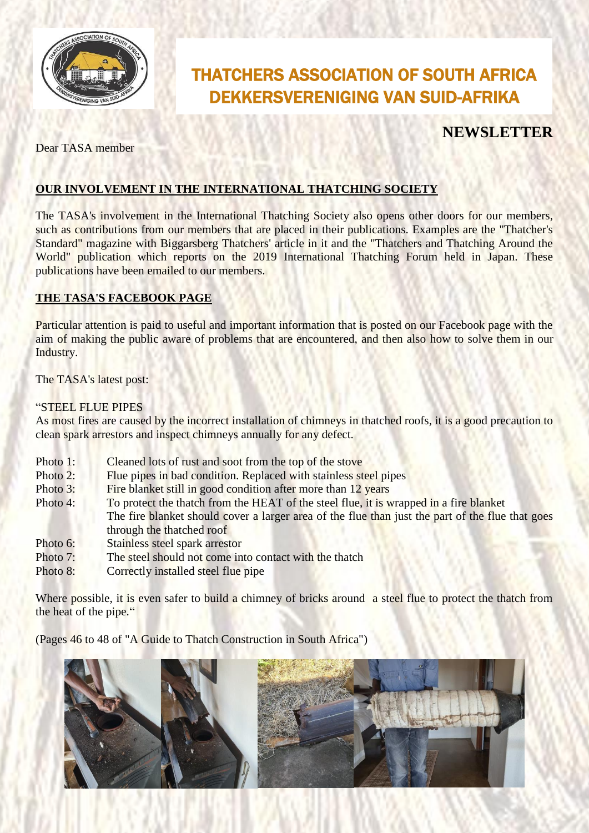

# THATCHERS ASSOCIATION OF SOUTH AFRICA DEKKERSVERENIGING VAN SUID-AFRIKA

# **NEWSLETTER**

Dear TASA member

### **OUR INVOLVEMENT IN THE INTERNATIONAL THATCHING SOCIETY**

The TASA's involvement in the International Thatching Society also opens other doors for our members, such as contributions from our members that are placed in their publications. Examples are the "Thatcher's Standard" magazine with Biggarsberg Thatchers' article in it and the "Thatchers and Thatching Around the World" publication which reports on the 2019 International Thatching Forum held in Japan. These publications have been emailed to our members.

#### **THE TASA'S FACEBOOK PAGE**

Particular attention is paid to useful and important information that is posted on our Facebook page with the aim of making the public aware of problems that are encountered, and then also how to solve them in our Industry.

The TASA's latest post:

#### "STEEL FLUE PIPES

As most fires are caused by the incorrect installation of chimneys in thatched roofs, it is a good precaution to clean spark arrestors and inspect chimneys annually for any defect.

- Photo 1: Cleaned lots of rust and soot from the top of the stove
- Photo 2: Flue pipes in bad condition. Replaced with stainless steel pipes
- Photo 3: Fire blanket still in good condition after more than 12 years
- Photo 4: To protect the thatch from the HEAT of the steel flue, it is wrapped in a fire blanket The fire blanket should cover a larger area of the flue than just the part of the flue that goes through the thatched roof
- Photo 6: Stainless steel spark arrestor
- Photo 7: The steel should not come into contact with the thatch
- Photo 8: Correctly installed steel flue pipe

Where possible, it is even safer to build a chimney of bricks around a steel flue to protect the thatch from the heat of the pipe."

(Pages 46 to 48 of "A Guide to Thatch Construction in South Africa")